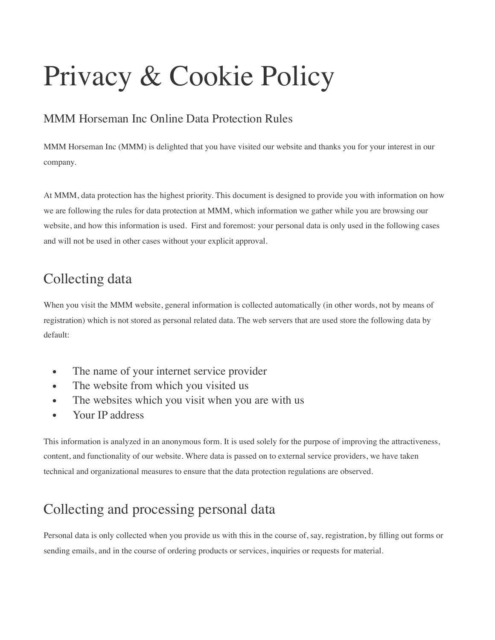# Privacy & Cookie Policy

#### MMM Horseman Inc Online Data Protection Rules

MMM Horseman Inc (MMM) is delighted that you have visited our website and thanks you for your interest in our company.

At MMM, data protection has the highest priority. This document is designed to provide you with information on how we are following the rules for data protection at MMM, which information we gather while you are browsing our website, and how this information is used. First and foremost: your personal data is only used in the following cases and will not be used in other cases without your explicit approval.

# Collecting data

When you visit the MMM website, general information is collected automatically (in other words, not by means of registration) which is not stored as personal related data. The web servers that are used store the following data by default:

- The name of your internet service provider
- The website from which you visited us
- The websites which you visit when you are with us
- Your IP address

This information is analyzed in an anonymous form. It is used solely for the purpose of improving the attractiveness, content, and functionality of our website. Where data is passed on to external service providers, we have taken technical and organizational measures to ensure that the data protection regulations are observed.

# Collecting and processing personal data

Personal data is only collected when you provide us with this in the course of, say, registration, by filling out forms or sending emails, and in the course of ordering products or services, inquiries or requests for material.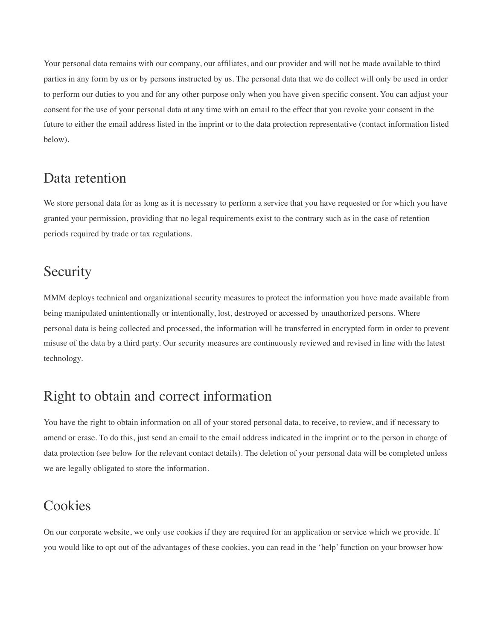Your personal data remains with our company, our affiliates, and our provider and will not be made available to third parties in any form by us or by persons instructed by us. The personal data that we do collect will only be used in order to perform our duties to you and for any other purpose only when you have given specific consent. You can adjust your consent for the use of your personal data at any time with an email to the effect that you revoke your consent in the future to either the email address listed in the imprint or to the data protection representative (contact information listed below).

#### Data retention

We store personal data for as long as it is necessary to perform a service that you have requested or for which you have granted your permission, providing that no legal requirements exist to the contrary such as in the case of retention periods required by trade or tax regulations.

#### Security

MMM deploys technical and organizational security measures to protect the information you have made available from being manipulated unintentionally or intentionally, lost, destroyed or accessed by unauthorized persons. Where personal data is being collected and processed, the information will be transferred in encrypted form in order to prevent misuse of the data by a third party. Our security measures are continuously reviewed and revised in line with the latest technology.

## Right to obtain and correct information

You have the right to obtain information on all of your stored personal data, to receive, to review, and if necessary to amend or erase. To do this, just send an email to the email address indicated in the imprint or to the person in charge of data protection (see below for the relevant contact details). The deletion of your personal data will be completed unless we are legally obligated to store the information.

## Cookies

On our corporate website, we only use cookies if they are required for an application or service which we provide. If you would like to opt out of the advantages of these cookies, you can read in the 'help' function on your browser how